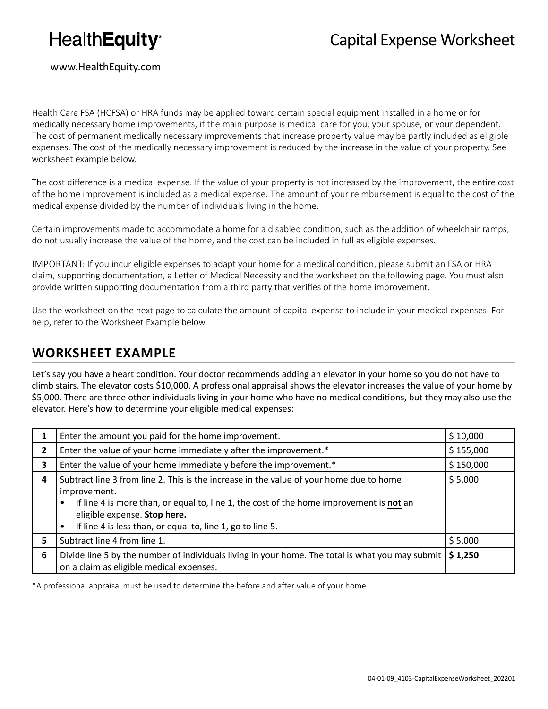# **HealthEquity®**

#### www.HealthEquity.com

Health Care FSA (HCFSA) or HRA funds may be applied toward certain special equipment installed in a home or for medically necessary home improvements, if the main purpose is medical care for you, your spouse, or your dependent. The cost of permanent medically necessary improvements that increase property value may be partly included as eligible expenses. The cost of the medically necessary improvement is reduced by the increase in the value of your property. See worksheet example below.

The cost difference is a medical expense. If the value of your property is not increased by the improvement, the entire cost of the home improvement is included as a medical expense. The amount of your reimbursement is equal to the cost of the medical expense divided by the number of individuals living in the home.

Certain improvements made to accommodate a home for a disabled condition, such as the addition of wheelchair ramps, do not usually increase the value of the home, and the cost can be included in full as eligible expenses.

IMPORTANT: If you incur eligible expenses to adapt your home for a medical condition, please submit an FSA or HRA claim, supporting documentation, a Letter of Medical Necessity and the worksheet on the following page. You must also provide written supporting documentation from a third party that verifies of the home improvement.

Use the worksheet on the next page to calculate the amount of capital expense to include in your medical expenses. For help, refer to the Worksheet Example below.

#### **WORKSHEET EXAMPLE**

Let's say you have a heart condition. Your doctor recommends adding an elevator in your home so you do not have to climb stairs. The elevator costs \$10,000. A professional appraisal shows the elevator increases the value of your home by \$5,000. There are three other individuals living in your home who have no medical conditions, but they may also use the elevator. Here's how to determine your eligible medical expenses:

|    | Enter the amount you paid for the home improvement.                                                                                                                                                                                                                                                           | \$10,000  |
|----|---------------------------------------------------------------------------------------------------------------------------------------------------------------------------------------------------------------------------------------------------------------------------------------------------------------|-----------|
| 2  | Enter the value of your home immediately after the improvement.*                                                                                                                                                                                                                                              | \$155,000 |
| 3  | Enter the value of your home immediately before the improvement.*                                                                                                                                                                                                                                             | \$150,000 |
| 4  | Subtract line 3 from line 2. This is the increase in the value of your home due to home<br>improvement.<br>If line 4 is more than, or equal to, line 1, the cost of the home improvement is not an<br>eligible expense. Stop here.<br>If line 4 is less than, or equal to, line 1, go to line 5.<br>$\bullet$ | \$5,000   |
| 5. | Subtract line 4 from line 1.                                                                                                                                                                                                                                                                                  | \$5,000   |
| 6  | Divide line 5 by the number of individuals living in your home. The total is what you may submit<br>on a claim as eligible medical expenses.                                                                                                                                                                  | \$1,250   |

\*A professional appraisal must be used to determine the before and after value of your home.